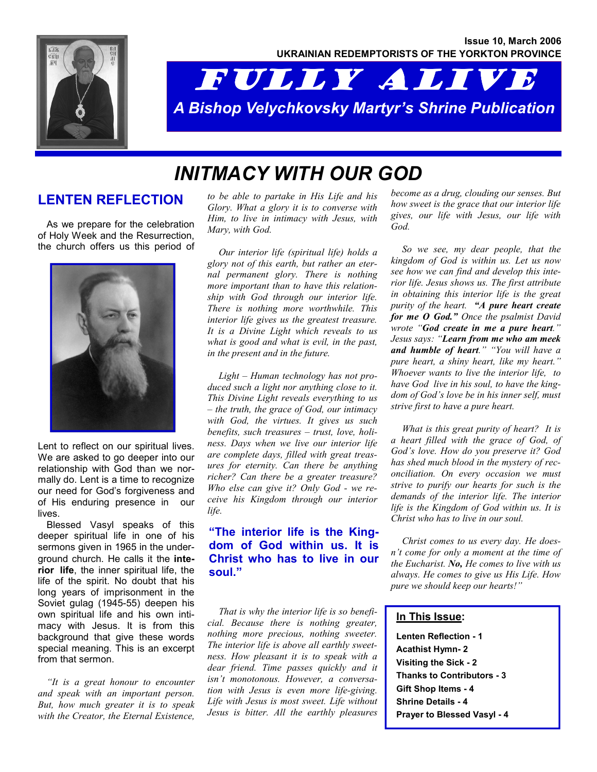

# FULLY ALIVE *A Bishop Velychkovsky Martyr's Shrine Publication*

## *INITMACY WITH OUR GOD*

#### **LENTEN REFLECTION**

As we prepare for the celebration of Holy Week and the Resurrection, the church offers us this period of



Lent to reflect on our spiritual lives. We are asked to go deeper into our relationship with God than we normally do. Lent is a time to recognize our need for God's forgiveness and of His enduring presence in our lives.

Blessed Vasyl speaks of this deeper spiritual life in one of his sermons given in 1965 in the underground church. He calls it the **interior life**, the inner spiritual life, the life of the spirit. No doubt that his long years of imprisonment in the Soviet gulag (1945-55) deepen his own spiritual life and his own intimacy with Jesus. It is from this background that give these words special meaning. This is an excerpt from that sermon.

*"It is a great honour to encounter and speak with an important person. But, how much greater it is to speak with the Creator, the Eternal Existence,* 

*to be able to partake in His Life and his Glory. What a glory it is to converse with Him, to live in intimacy with Jesus, with Mary, with God.* 

 *Our interior life (spiritual life) holds a glory not of this earth, but rather an eternal permanent glory. There is nothing more important than to have this relationship with God through our interior life. There is nothing more worthwhile. This interior life gives us the greatest treasure. It is a Divine Light which reveals to us what is good and what is evil, in the past, in the present and in the future.* 

 *Light – Human technology has not produced such a light nor anything close to it. This Divine Light reveals everything to us – the truth, the grace of God, our intimacy with God, the virtues. It gives us such benefits, such treasures – trust, love, holiness. Days when we live our interior life are complete days, filled with great treasures for eternity. Can there be anything richer? Can there be a greater treasure? Who else can give it? Only God - we receive his Kingdom through our interior life.* 

#### **"The interior life is the Kingdom of God within us. It is Christ who has to live in our soul."**

 *That is why the interior life is so beneficial. Because there is nothing greater, nothing more precious, nothing sweeter. The interior life is above all earthly sweetness. How pleasant it is to speak with a dear friend. Time passes quickly and it isn't monotonous. However, a conversation with Jesus is even more life-giving. Life with Jesus is most sweet. Life without Jesus is bitter. All the earthly pleasures* 

*become as a drug, clouding our senses. But how sweet is the grace that our interior life gives, our life with Jesus, our life with God.* 

 *So we see, my dear people, that the kingdom of God is within us. Let us now see how we can find and develop this interior life. Jesus shows us. The first attribute in obtaining this interior life is the great purity of the heart. "A pure heart create for me O God." Once the psalmist David wrote "God create in me a pure heart." Jesus says: "Learn from me who am meek and humble of heart." "You will have a pure heart, a shiny heart, like my heart." Whoever wants to live the interior life, to have God live in his soul, to have the kingdom of God's love be in his inner self, must strive first to have a pure heart.* 

 *What is this great purity of heart? It is a heart filled with the grace of God, of God's love. How do you preserve it? God has shed much blood in the mystery of reconciliation. On every occasion we must strive to purify our hearts for such is the demands of the interior life. The interior life is the Kingdom of God within us. It is Christ who has to live in our soul.* 

 *Christ comes to us every day. He doesn't come for only a moment at the time of the Eucharist. No, He comes to live with us always. He comes to give us His Life. How pure we should keep our hearts!"* 

#### **In This Issue:**

**Lenten Reflection - 1 Acathist Hymn- 2 Visiting the Sick - 2 Thanks to Contributors - 3 Gift Shop Items - 4 Shrine Details - 4 Prayer to Blessed Vasyl - 4**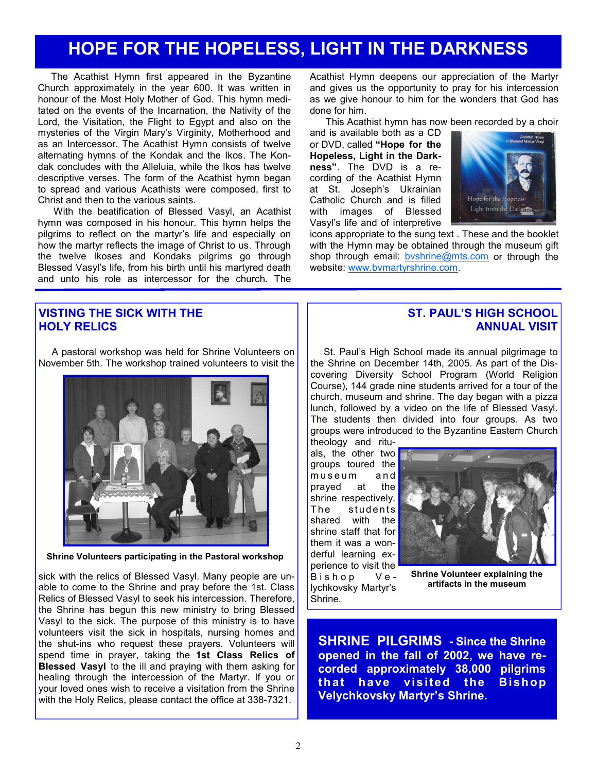### **HOPE FOR THE HOPELESS, LIGHT IN THE DARKNESS**

The Acathist Hymn first appeared in the Byzantine Church approximately in the year 600. It was written in honour of the Most Holy Mother of God. This hymn meditated on the events of the Incarnation, the Nativity of the Lord, the Visitation, the Flight to Egypt and also on the mysteries of the Virgin Mary's Virginity, Motherhood and as an Intercessor. The Acathist Hymn consists of twelve alternating hymns of the Kondak and the Ikos. The Kondak concludes with the Alleluia, while the Ikos has twelve descriptive verses. The form of the Acathist hymn began to spread and various Acathists were composed, first to Christ and then to the various saints.

 With the beatification of Blessed Vasyl, an Acathist hymn was composed in his honour. This hymn helps the pilgrims to reflect on the martyr's life and especially on how the martyr reflects the image of Christ to us. Through the twelve Ikoses and Kondaks pilgrims go through Blessed Vasyl's life, from his birth until his martyred death and unto his role as intercessor for the church. The

Acathist Hymn deepens our appreciation of the Martyr and gives us the opportunity to pray for his intercession as we give honour to him for the wonders that God has done for him.

This Acathist hymn has now been recorded by a choir

and is available both as a CD or DVD, called **"Hope for the Hopeless, Light in the Darkness"**. The DVD is a recording of the Acathist Hymn at St. Joseph's Ukrainian Catholic Church and is filled with images of Blessed Vasyl's life and of interpretive



icons appropriate to the sung text . These and the booklet with the Hymn may be obtained through the museum gift shop through email: byshrine@mts.com or through the website: www.bvmartyrshrine.com.

#### **VISTING THE SICK WITH THE HOLY RELICS**

**Shrine Volunteers participating in the Pastoral workshop** 

sick with the relics of Blessed Vasyl. Many people are unable to come to the Shrine and pray before the 1st. Class Relics of Blessed Vasyl to seek his intercession. Therefore, the Shrine has begun this new ministry to bring Blessed Vasyl to the sick. The purpose of this ministry is to have volunteers visit the sick in hospitals, nursing homes and the shut-ins who request these prayers. Volunteers will spend time in prayer, taking the **1st Class Relics of Blessed Vasyl** to the ill and praying with them asking for healing through the intercession of the Martyr. If you or your loved ones wish to receive a visitation from the Shrine with the Holy Relics, please contact the office at 338-7321.

#### **ST. PAUL'S HIGH SCHOOL ANNUAL VISIT**

St. Paul's High School made its annual pilgrimage to the Shrine on December 14th, 2005. As part of the Discovering Diversity School Program (World Religion Course), 144 grade nine students arrived for a tour of the church, museum and shrine. The day began with a pizza lunch, followed by a video on the life of Blessed Vasyl. The students then divided into four groups. As two groups were introduced to the Byzantine Eastern Church

theology and rituals, the other two groups toured the museum and prayed at the shrine respectively. The students shared with the shrine staff that for them it was a wonderful learning experience to visit the Bishop Velychkovsky Martyr's Shrine.



**Shrine Volunteer explaining the artifacts in the museum** 

**SHRINE PILGRIMS - Since the Shrine opened in the fall of 2002, we have recorded approximately 38,000 pilgrims that have visited the Bishop Velychkovsky Martyr's Shrine.** 

A pastoral workshop was held for Shrine Volunteers on November 5th. The workshop trained volunteers to visit the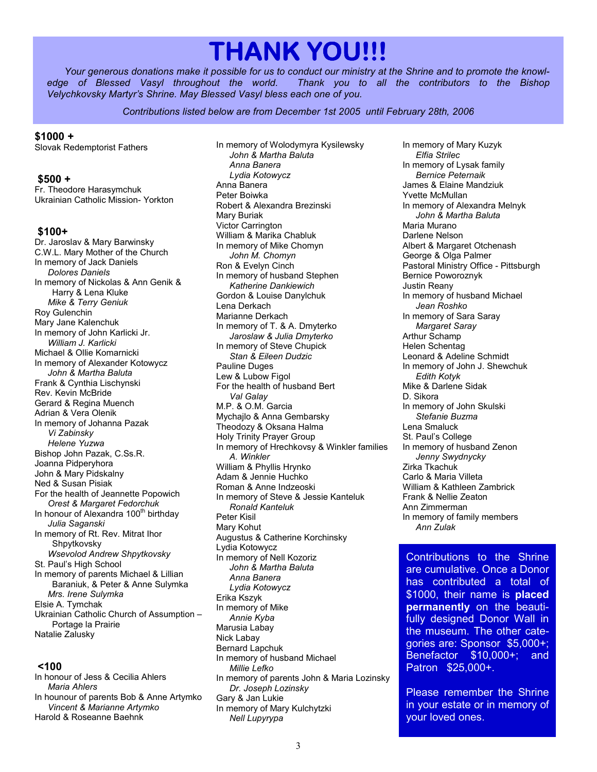# **THANK YOU!!!**

*Your generous donations make it possible for us to conduct our ministry at the Shrine and to promote the knowledge of Blessed Vasyl throughout the world. Thank you to all the contributors to the Bishop Velychkovsky Martyr's Shrine. May Blessed Vasyl bless each one of you.* 

*Contributions listed below are from December 1st 2005 until February 28th, 2006* 

#### **\$1000 +**

Slovak Redemptorist Fathers

#### **\$500 +**

Fr. Theodore Harasymchuk Ukrainian Catholic Mission- Yorkton

#### **\$100+**

Dr. Jaroslav & Mary Barwinsky C.W.L. Mary Mother of the Church In memory of Jack Daniels *Dolores Daniels*  In memory of Nickolas & Ann Genik & Harry & Lena Kluke *Mike & Terry Geniuk*  Roy Gulenchin Mary Jane Kalenchuk In memory of John Karlicki Jr. *William J. Karlicki*  Michael & Ollie Komarnicki In memory of Alexander Kotowycz *John & Martha Baluta*  Frank & Cynthia Lischynski Rev. Kevin McBride Gerard & Regina Muench Adrian & Vera Olenik In memory of Johanna Pazak *Vi Zabinsky Helene Yuzwa*  Bishop John Pazak, C.Ss.R. Joanna Pidperyhora John & Mary Pidskalny Ned & Susan Pisiak For the health of Jeannette Popowich *Orest & Margaret Fedorchuk*  In honour of Alexandra 100<sup>th</sup> birthday *Julia Saganski*  In memory of Rt. Rev. Mitrat Ihor Shpytkovsky *Wsevolod Andrew Shpytkovsky*  St. Paul's High School In memory of parents Michael & Lillian Baraniuk, & Peter & Anne Sulymka *Mrs. Irene Sulymka*  Elsie A. Tymchak Ukrainian Catholic Church of Assumption – Portage la Prairie Natalie Zalusky

#### **<100**

In honour of Jess & Cecilia Ahlers *Maria Ahlers*  In hounour of parents Bob & Anne Artymko *Vincent & Marianne Artymko*  Harold & Roseanne Baehnk

In memory of Wolodymyra Kysilewsky *John & Martha Baluta Anna Banera Lydia Kotowycz*  Anna Banera Peter Boiwka Robert & Alexandra Brezinski Mary Buriak Victor Carrington William & Marika Chabluk In memory of Mike Chomyn *John M. Chomyn*  Ron & Evelyn Cinch In memory of husband Stephen *Katherine Dankiewich*  Gordon & Louise Danylchuk Lena Derkach Marianne Derkach In memory of T. & A. Dmyterko *Jaroslaw & Julia Dmyterko*  In memory of Steve Chupick *Stan & Eileen Dudzic*  Pauline Duges Lew & Lubow Figol For the health of husband Bert *Val Galay*  M.P. & O.M. Garcia Mychajlo & Anna Gembarsky Theodozy & Oksana Halma Holy Trinity Prayer Group In memory of Hrechkovsy & Winkler families *A. Winkler*  William & Phyllis Hrynko Adam & Jennie Huchko Roman & Anne Indzeoski In memory of Steve & Jessie Kanteluk *Ronald Kanteluk*  Peter Kisil Mary Kohut Augustus & Catherine Korchinsky Lydia Kotowycz In memory of Nell Kozoriz *John & Martha Baluta Anna Banera Lydia Kotowycz* Erika Kszyk In memory of Mike *Annie Kyba*  Marusia Labay Nick Labay Bernard Lapchuk In memory of husband Michael *Millie Lefko*  In memory of parents John & Maria Lozinsky *Dr. Joseph Lozinsky*  Gary & Jan Lukie

In memory of Mary Kulchytzki

In memory of Mary Kuzyk *Elfia Strilec*  In memory of Lysak family *Bernice Peternaik*  James & Elaine Mandziuk Yvette McMullan In memory of Alexandra Melnyk *John & Martha Baluta*  Maria Murano Darlene Nelson Albert & Margaret Otchenash George & Olga Palmer Pastoral Ministry Office - Pittsburgh Bernice Poworoznyk Justin Reany In memory of husband Michael *Jean Roshko*  In memory of Sara Saray *Margaret Saray*  Arthur Schamp Helen Schentag Leonard & Adeline Schmidt In memory of John J. Shewchuk *Edith Kotyk*  Mike & Darlene Sidak D. Sikora In memory of John Skulski *Stefanie Buzma*  Lena Smaluck St. Paul's College In memory of husband Zenon *Jenny Swydnycky*  Zirka Tkachuk Carlo & Maria Villeta William & Kathleen Zambrick Frank & Nellie Zeaton Ann Zimmerman In memory of family members *Ann Zulak* 

Contributions to the Shrine are cumulative. Once a Donor has contributed a total of \$1000, their name is **placed permanently** on the beautifully designed Donor Wall in the museum. The other categories are: Sponsor \$5,000+; Benefactor \$10,000+; and Patron \$25,000+.

Please remember the Shrine in your estate or in memory of your loved ones.

*Nell Lupyrypa*